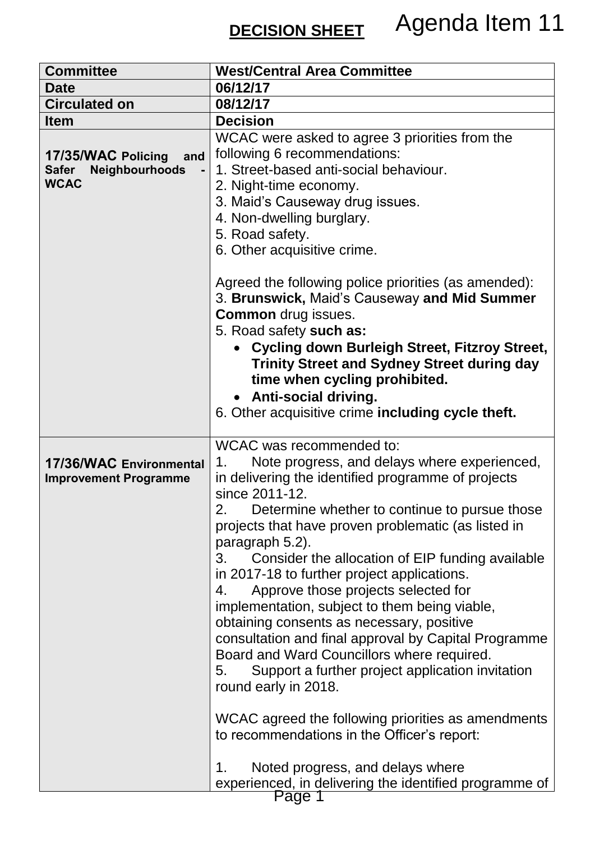|                                               | Agenda Item 11<br><b>DECISION SHEET</b>                |
|-----------------------------------------------|--------------------------------------------------------|
|                                               |                                                        |
| <b>Committee</b>                              | <b>West/Central Area Committee</b>                     |
| <b>Date</b>                                   | 06/12/17                                               |
| <b>Circulated on</b>                          | 08/12/17                                               |
| <b>Item</b>                                   | <b>Decision</b>                                        |
|                                               | WCAC were asked to agree 3 priorities from the         |
| 17/35/WAC Policing<br>and                     | following 6 recommendations:                           |
| <b>Safer</b><br>Neighbourhoods<br><b>WCAC</b> | 1. Street-based anti-social behaviour.                 |
|                                               | 2. Night-time economy.                                 |
|                                               | 3. Maid's Causeway drug issues.                        |
|                                               | 4. Non-dwelling burglary.                              |
|                                               | 5. Road safety.                                        |
|                                               | 6. Other acquisitive crime.                            |
|                                               |                                                        |
|                                               | Agreed the following police priorities (as amended):   |
|                                               | 3. Brunswick, Maid's Causeway and Mid Summer           |
|                                               | <b>Common</b> drug issues.                             |
|                                               | 5. Road safety such as:                                |
|                                               | • Cycling down Burleigh Street, Fitzroy Street,        |
|                                               | <b>Trinity Street and Sydney Street during day</b>     |
|                                               | time when cycling prohibited.                          |
|                                               | <b>Anti-social driving.</b>                            |
|                                               | 6. Other acquisitive crime including cycle theft.      |
|                                               | WCAC was recommended to:                               |
| 17/36/WAC Environmental                       | 1. Note progress, and delays where experienced,        |
| <b>Improvement Programme</b>                  | in delivering the identified programme of projects     |
|                                               | since 2011-12.                                         |
|                                               | 2.<br>Determine whether to continue to pursue those    |
|                                               | projects that have proven problematic (as listed in    |
|                                               | paragraph 5.2).                                        |
|                                               | Consider the allocation of EIP funding available<br>3. |
|                                               | in 2017-18 to further project applications.            |
|                                               | Approve those projects selected for<br>4.              |
|                                               | implementation, subject to them being viable,          |
|                                               | obtaining consents as necessary, positive              |
|                                               | consultation and final approval by Capital Programme   |
|                                               | Board and Ward Councillors where required.             |
|                                               | Support a further project application invitation<br>5. |
|                                               | round early in 2018.                                   |
|                                               |                                                        |
|                                               | WCAC agreed the following priorities as amendments     |
|                                               | to recommendations in the Officer's report:            |
|                                               |                                                        |
|                                               | Noted progress, and delays where<br>$1_{-}$            |
|                                               | experienced, in delivering the identified programme of |
|                                               | Page 1                                                 |